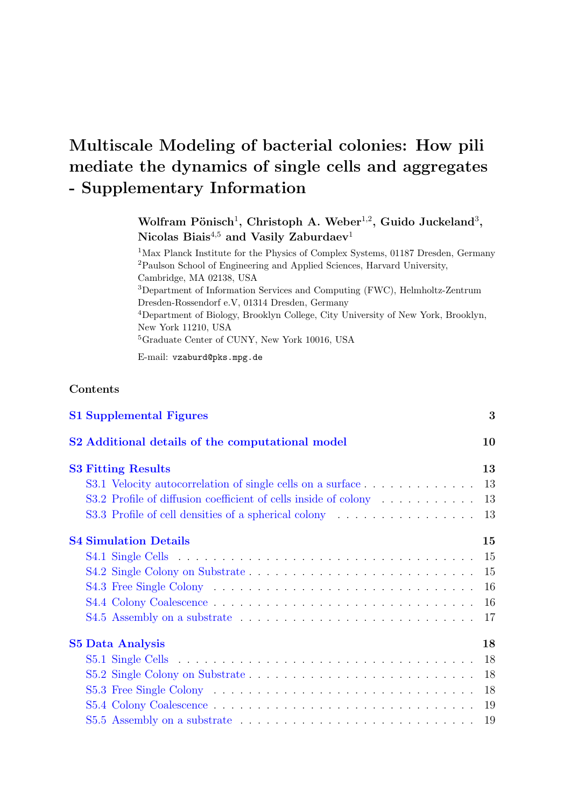# Multiscale Modeling of bacterial colonies: How pili mediate the dynamics of single cells and aggregates - Supplementary Information

Wolfram Pönisch<sup>1</sup>, Christoph A. Weber<sup>1,2</sup>, Guido Juckeland<sup>3</sup>, Nicolas Biais<sup>4,5</sup> and Vasily Zaburdaev<sup>1</sup>

Max Planck Institute for the Physics of Complex Systems, 01187 Dresden, Germany Paulson School of Engineering and Applied Sciences, Harvard University, Cambridge, MA 02138, USA Department of Information Services and Computing (FWC), Helmholtz-Zentrum Dresden-Rossendorf e.V, 01314 Dresden, Germany Department of Biology, Brooklyn College, City University of New York, Brooklyn, New York 11210, USA Graduate Center of CUNY, New York 10016, USA

E-mail: vzaburd@pks.mpg.de

## Contents

| <b>S1 Supplemental Figures</b>                                                                                   | 3   |
|------------------------------------------------------------------------------------------------------------------|-----|
| S2 Additional details of the computational model                                                                 | 10  |
| <b>S3 Fitting Results</b>                                                                                        | 13  |
| S3.1 Velocity autocorrelation of single cells on a surface 13                                                    |     |
|                                                                                                                  |     |
| S3.3 Profile of cell densities of a spherical colony enteries in the set of a spherical colony                   | 13  |
| <b>S4 Simulation Details</b>                                                                                     | 15  |
|                                                                                                                  |     |
|                                                                                                                  |     |
|                                                                                                                  |     |
|                                                                                                                  |     |
|                                                                                                                  |     |
| <b>S5 Data Analysis</b>                                                                                          | 18  |
|                                                                                                                  | -18 |
|                                                                                                                  |     |
| S5.3 Free Single Colony $\ldots \ldots \ldots \ldots \ldots \ldots \ldots \ldots \ldots \ldots \ldots \ldots$ 18 |     |
|                                                                                                                  |     |
| $S5.5$ Assembly on a substrate $\ldots \ldots \ldots \ldots \ldots \ldots \ldots \ldots \ldots \ldots \ldots$    |     |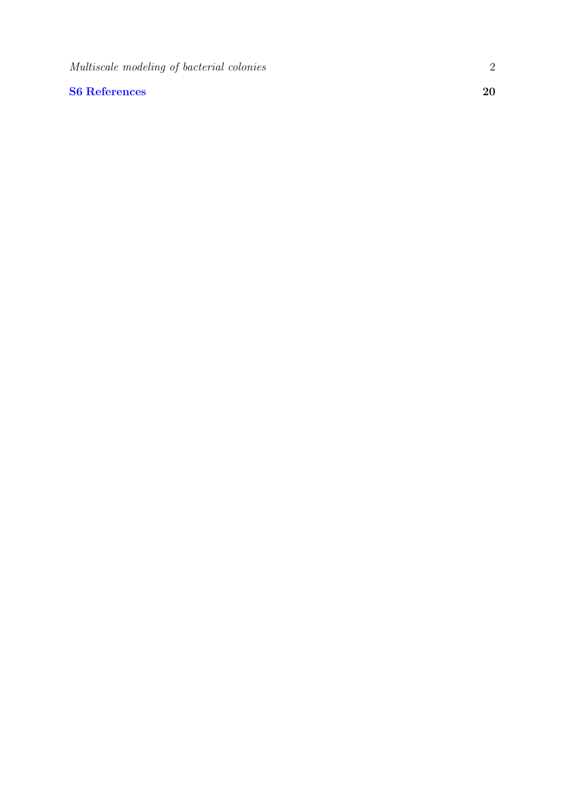Multiscale modeling of bacterial colonies

## [S6 References](#page-19-0) 20

2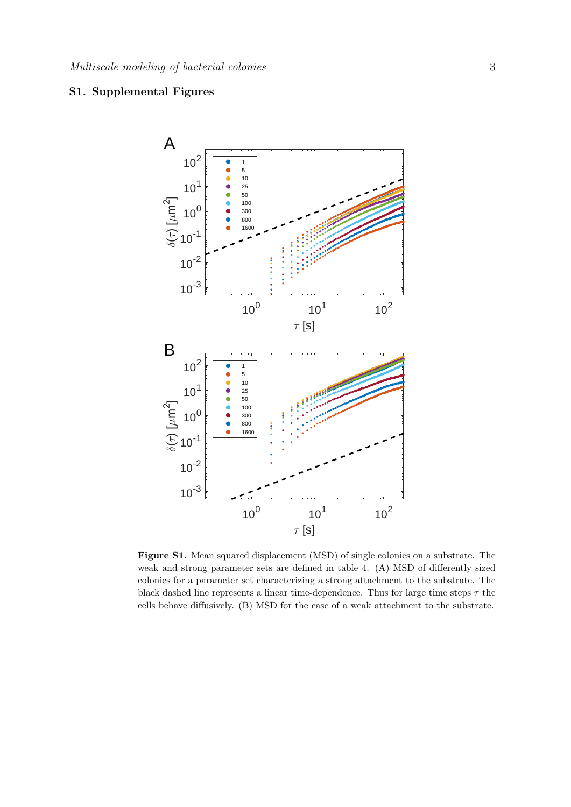## <span id="page-2-0"></span>S1. Supplemental Figures



Figure S1. Mean squared displacement (MSD) of single colonies on a substrate. The weak and strong parameter sets are defined in table 4. (A) MSD of differently sized colonies for a parameter set characterizing a strong attachment to the substrate. The black dashed line represents a linear time-dependence. Thus for large time steps  $\tau$  the cells behave diffusively. (B) MSD for the case of a weak attachment to the substrate.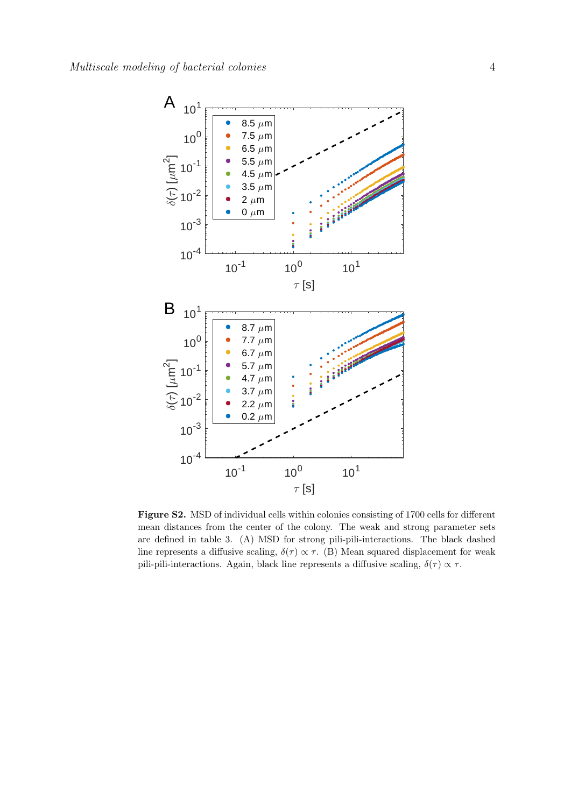

Figure S2. MSD of individual cells within colonies consisting of 1700 cells for different mean distances from the center of the colony. The weak and strong parameter sets are defined in table 3. (A) MSD for strong pili-pili-interactions. The black dashed line represents a diffusive scaling,  $\delta(\tau) \propto \tau$ . (B) Mean squared displacement for weak pili-pili-interactions. Again, black line represents a diffusive scaling,  $\delta(\tau) \propto \tau$ .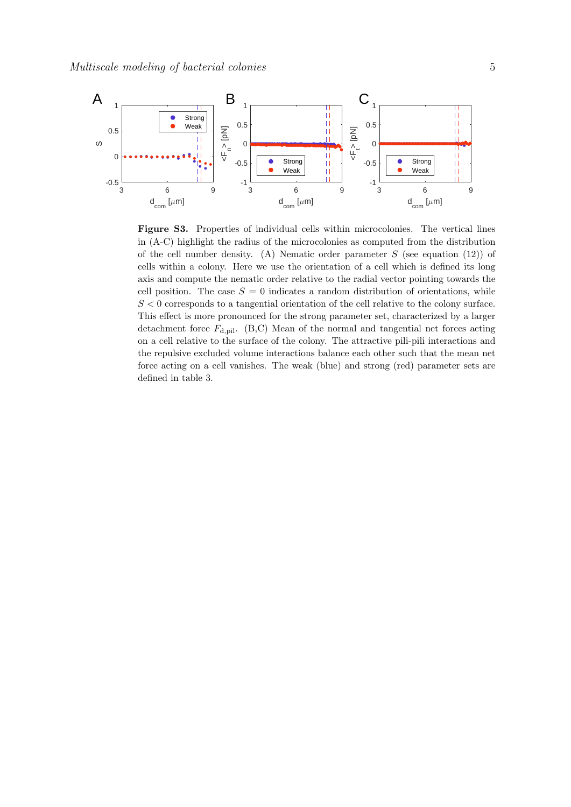

Figure S3. Properties of individual cells within microcolonies. The vertical lines in (A-C) highlight the radius of the microcolonies as computed from the distribution of the cell number density. (A) Nematic order parameter  $S$  (see equation (12)) of cells within a colony. Here we use the orientation of a cell which is defined its long axis and compute the nematic order relative to the radial vector pointing towards the cell position. The case  $S = 0$  indicates a random distribution of orientations, while  $S < 0$  corresponds to a tangential orientation of the cell relative to the colony surface. This effect is more pronounced for the strong parameter set, characterized by a larger detachment force  $F_{\rm d,pil}$ . (B,C) Mean of the normal and tangential net forces acting on a cell relative to the surface of the colony. The attractive pili-pili interactions and the repulsive excluded volume interactions balance each other such that the mean net force acting on a cell vanishes. The weak (blue) and strong (red) parameter sets are defined in table 3.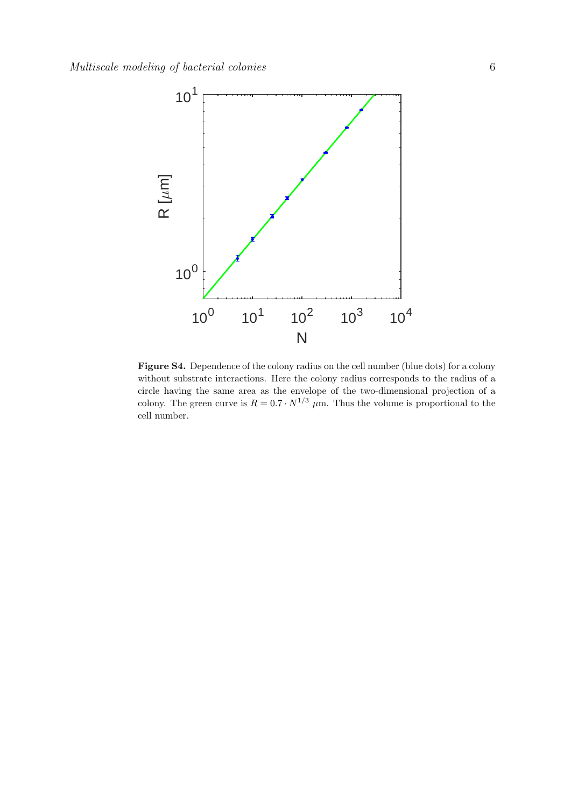

Figure S4. Dependence of the colony radius on the cell number (blue dots) for a colony without substrate interactions. Here the colony radius corresponds to the radius of a circle having the same area as the envelope of the two-dimensional projection of a colony. The green curve is  $R = 0.7 \cdot N^{1/3}$   $\mu$ m. Thus the volume is proportional to the cell number.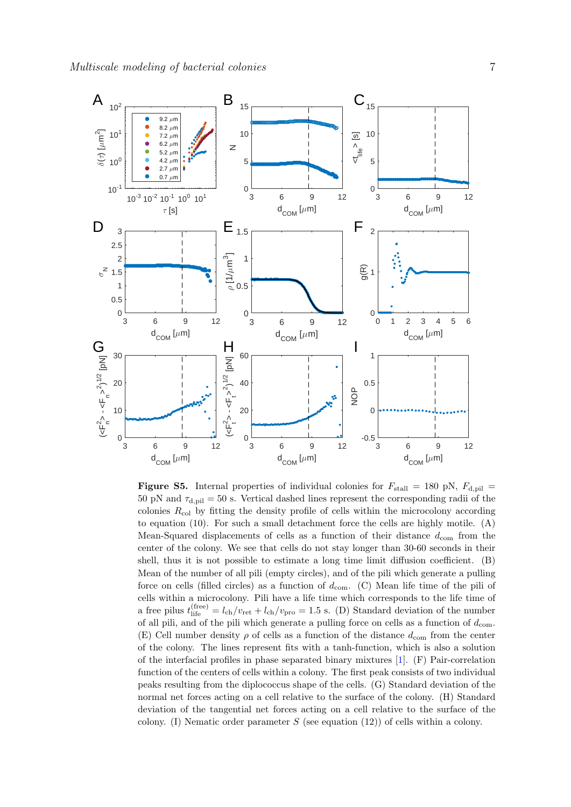

**Figure S5.** Internal properties of individual colonies for  $F_{\text{stall}} = 180 \text{ pN}, F_{\text{d,pil}} =$ 50 pN and  $\tau_{d,pil} = 50$  s. Vertical dashed lines represent the corresponding radii of the colonies  $R_{\text{col}}$  by fitting the density profile of cells within the microcolony according to equation (10). For such a small detachment force the cells are highly motile. (A) Mean-Squared displacements of cells as a function of their distance  $d_{\text{com}}$  from the center of the colony. We see that cells do not stay longer than 30-60 seconds in their shell, thus it is not possible to estimate a long time limit diffusion coefficient. (B) Mean of the number of all pili (empty circles), and of the pili which generate a pulling force on cells (filled circles) as a function of  $d_{com}$ . (C) Mean life time of the pili of cells within a microcolony. Pili have a life time which corresponds to the life time of a free pilus  $t_{\text{life}}^{\text{(free)}} = l_{\text{ch}}/v_{\text{ret}} + l_{\text{ch}}/v_{\text{pro}} = 1.5 \text{ s.}$  (D) Standard deviation of the number of all pili, and of the pili which generate a pulling force on cells as a function of  $d_{\text{com}}$ . (E) Cell number density  $\rho$  of cells as a function of the distance  $d_{\text{com}}$  from the center of the colony. The lines represent fits with a tanh-function, which is also a solution of the interfacial profiles in phase separated binary mixtures [\[1\]](#page-19-1). (F) Pair-correlation function of the centers of cells within a colony. The first peak consists of two individual peaks resulting from the diplococcus shape of the cells. (G) Standard deviation of the normal net forces acting on a cell relative to the surface of the colony. (H) Standard deviation of the tangential net forces acting on a cell relative to the surface of the colony. (I) Nematic order parameter  $S$  (see equation (12)) of cells within a colony.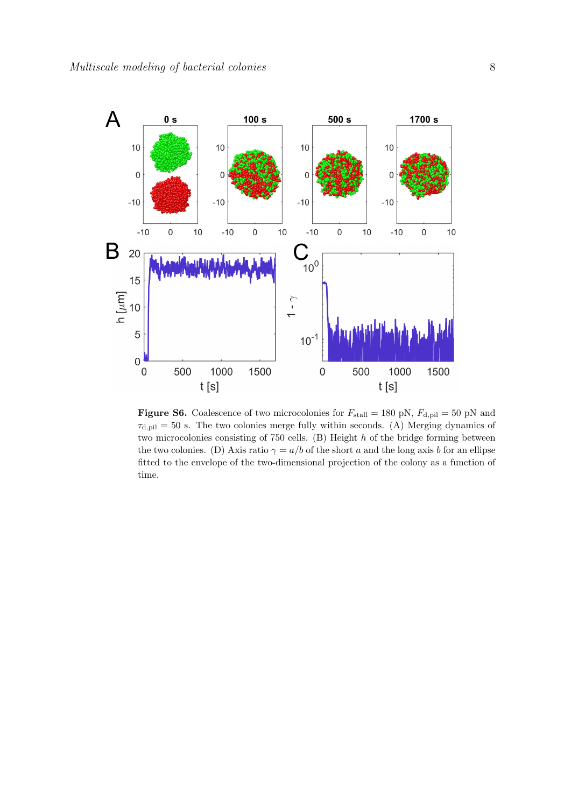

Figure S6. Coalescence of two microcolonies for  $F_{\text{stall}} = 180 \text{ pN}, F_{\text{d,pil}} = 50 \text{ pN}$  and  $\tau_{\rm d,pil} = 50$  s. The two colonies merge fully within seconds. (A) Merging dynamics of two microcolonies consisting of 750 cells. (B) Height h of the bridge forming between the two colonies. (D) Axis ratio  $\gamma = a/b$  of the short a and the long axis b for an ellipse fitted to the envelope of the two-dimensional projection of the colony as a function of time.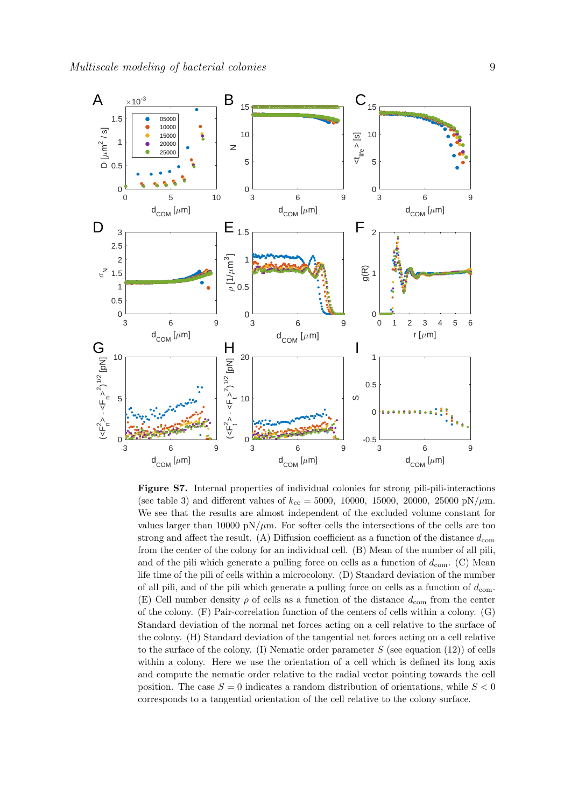

Figure S7. Internal properties of individual colonies for strong pili-pili-interactions (see table 3) and different values of  $k_{\text{cc}} = 5000, 10000, 15000, 20000, 25000 \text{ pN}/\mu \text{m}$ . We see that the results are almost independent of the excluded volume constant for values larger than 10000 pN/ $\mu$ m. For softer cells the intersections of the cells are too strong and affect the result. (A) Diffusion coefficient as a function of the distance  $d_{\text{com}}$ from the center of the colony for an individual cell. (B) Mean of the number of all pili, and of the pili which generate a pulling force on cells as a function of  $d_{com}$ . (C) Mean life time of the pili of cells within a microcolony. (D) Standard deviation of the number of all pili, and of the pili which generate a pulling force on cells as a function of  $d_{\text{com}}$ . (E) Cell number density  $\rho$  of cells as a function of the distance  $d_{\text{com}}$  from the center of the colony. (F) Pair-correlation function of the centers of cells within a colony. (G) Standard deviation of the normal net forces acting on a cell relative to the surface of the colony. (H) Standard deviation of the tangential net forces acting on a cell relative to the surface of the colony. (I) Nematic order parameter  $S$  (see equation (12)) of cells within a colony. Here we use the orientation of a cell which is defined its long axis and compute the nematic order relative to the radial vector pointing towards the cell position. The case  $S = 0$  indicates a random distribution of orientations, while  $S < 0$ corresponds to a tangential orientation of the cell relative to the colony surface.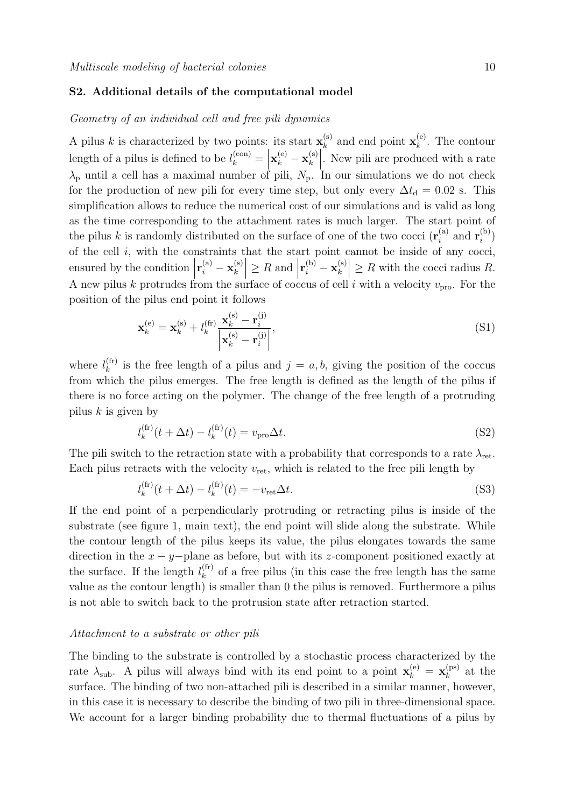#### <span id="page-9-0"></span>S2. Additional details of the computational model

#### Geometry of an individual cell and free pili dynamics

A pilus k is characterized by two points: its start  $\mathbf{x}_{k}^{(s)}$  $\mathbf{x}_{k}^{(\mathrm{s})}$  and end point  $\mathbf{x}_{k}^{(\mathrm{e})}$  $k^{(e)}$ . The contour length of a pilus is defined to be  $l_k^{(\text{con})} = \begin{bmatrix} 1 & 0 & 0 \\ 0 & 0 & 0 \\ 0 & 0 & 0 \end{bmatrix}$  $\mathbf{x}_k^{(\text{e})}-\mathbf{x}_k^{(\text{s})}$  $\binom{s}{k}$ . New pili are produced with a rate  $\lambda_{\rm p}$  until a cell has a maximal number of pili,  $N_{\rm p}$ . In our simulations we do not check for the production of new pili for every time step, but only every  $\Delta t_d = 0.02$  s. This simplification allows to reduce the numerical cost of our simulations and is valid as long as the time corresponding to the attachment rates is much larger. The start point of the pilus k is randomly distributed on the surface of one of the two cocci  $(\mathbf{r}_i^{(a)})$  $i^{(a)}$  and  $r_i^{(b)}$  $\binom{(\mathsf{D})}{i}$ of the cell  $i$ , with the constraints that the start point cannot be inside of any cocci, ensured by the condition  $\mathbf{r}_{i}^{\text{(a)}}-\mathbf{x}_{k}^{\text{(s)}}$  $\begin{array}{c} \binom{\text{(s)}}{k} \geq R \text{ and } \\ 0 \leq R \leq R. \end{array}$  $\mathbf{r}_{i}^{(\mathrm{b})}-\mathbf{x}_{k}^{(\mathrm{s})}$  $\begin{vmatrix} \n\infty \\ \n\infty \n\end{vmatrix} \geq R$  with the cocci radius R. A new pilus k protrudes from the surface of coccus of cell i with a velocity  $v_{\text{pro}}$ . For the position of the pilus end point it follows

$$
\mathbf{x}_{k}^{(e)} = \mathbf{x}_{k}^{(s)} + l_{k}^{(fr)} \frac{\mathbf{x}_{k}^{(s)} - \mathbf{r}_{i}^{(j)}}{\left| \mathbf{x}_{k}^{(s)} - \mathbf{r}_{i}^{(j)} \right|},
$$
\n(S1)

where  $l_k^{(\text{fr})}$  $\binom{m}{k}$  is the free length of a pilus and  $j = a, b$ , giving the position of the coccus from which the pilus emerges. The free length is defined as the length of the pilus if there is no force acting on the polymer. The change of the free length of a protruding pilus  $k$  is given by

$$
l_k^{(\text{fr})}(t + \Delta t) - l_k^{(\text{fr})}(t) = v_{\text{pro}} \Delta t.
$$
\n(S2)

The pili switch to the retraction state with a probability that corresponds to a rate  $\lambda_{\rm ret}$ . Each pilus retracts with the velocity  $v_{\text{ret}}$ , which is related to the free pili length by

$$
l_k^{(\text{fr})}(t + \Delta t) - l_k^{(\text{fr})}(t) = -v_{\text{ret}}\Delta t.
$$
\n(S3)

If the end point of a perpendicularly protruding or retracting pilus is inside of the substrate (see figure 1, main text), the end point will slide along the substrate. While the contour length of the pilus keeps its value, the pilus elongates towards the same direction in the  $x - y$ -plane as before, but with its z-component positioned exactly at the surface. If the length  $l_k^{(\text{fr})}$  $\binom{(\text{tr})}{k}$  of a free pilus (in this case the free length has the same value as the contour length) is smaller than 0 the pilus is removed. Furthermore a pilus is not able to switch back to the protrusion state after retraction started.

#### Attachment to a substrate or other pili

The binding to the substrate is controlled by a stochastic process characterized by the rate  $\lambda_{sub}$ . A pilus will always bind with its end point to a point  $\mathbf{x}_{k}^{(e)} = \mathbf{x}_{k}^{(ps)}$  $\mathbf{R}_k^{(\text{ps})}$  at the surface. The binding of two non-attached pili is described in a similar manner, however, in this case it is necessary to describe the binding of two pili in three-dimensional space. We account for a larger binding probability due to thermal fluctuations of a pilus by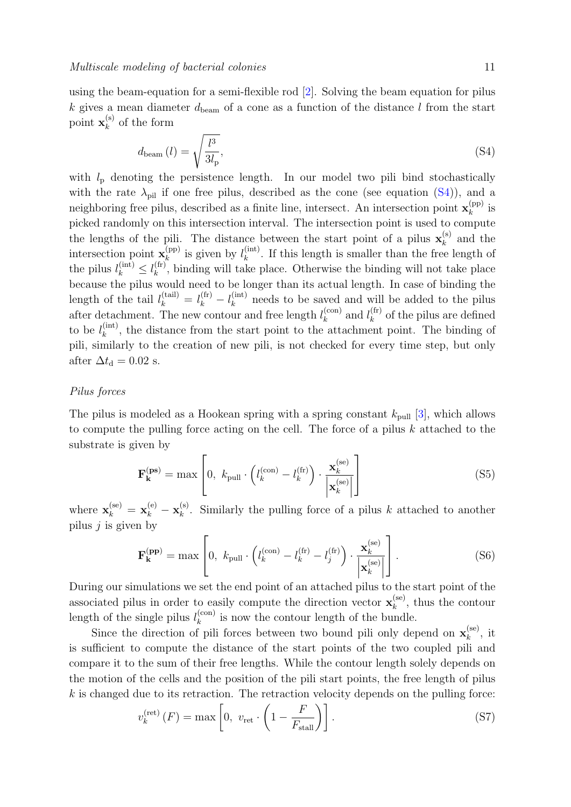using the beam-equation for a semi-flexible rod [\[2\]](#page-19-2). Solving the beam equation for pilus k gives a mean diameter  $d_{\text{beam}}$  of a cone as a function of the distance l from the start point  $\mathbf{x}_k^{(\mathrm{s})}$  $k^{(s)}$  of the form

<span id="page-10-0"></span>
$$
d_{\text{beam}}\left(l\right) = \sqrt{\frac{l^3}{3l_{\text{p}}}},\tag{S4}
$$

with  $l_p$  denoting the persistence length. In our model two pili bind stochastically with the rate  $\lambda_{\text{pil}}$  if one free pilus, described as the cone (see equation [\(S4\)](#page-10-0)), and a neighboring free pilus, described as a finite line, intersect. An intersection point  $\mathbf{x}_k^{(pp)}$  $\frac{\text{(pp)}}{k}$  is picked randomly on this intersection interval. The intersection point is used to compute the lengths of the pili. The distance between the start point of a pilus  $\mathbf{x}_{k}^{(s)}$  and the k intersection point  $\mathbf{x}_{k}^{(pp)}$  $\binom{\text{(pp)}}{k}$  is given by  $l_k^{\text{(int)}}$  $\binom{int}{k}$ . If this length is smaller than the free length of the pilus  $l_k^{(\text{int})} \leq l_k^{(\text{fr})}$  $\kappa_k^{\text{(tr)}}$ , binding will take place. Otherwise the binding will not take place because the pilus would need to be longer than its actual length. In case of binding the length of the tail  $l_k^{\text{(tail)}} = l_k^{\text{(fr)}} - l_k^{\text{(int)}}$  $\binom{m}{k}$  needs to be saved and will be added to the pilus after detachment. The new contour and free length  $l_k^{(\text{con})}$  $\binom{(\text{con})}{k}$  and  $l_k^{(\text{fr})}$  $k^{(\text{tr})}_{k}$  of the pilus are defined to be  $l_k^{\text{(int)}}$  $\binom{m}{k}$ , the distance from the start point to the attachment point. The binding of pili, similarly to the creation of new pili, is not checked for every time step, but only after  $\Delta t_{\rm d} = 0.02$  s.

## Pilus forces

The pilus is modeled as a Hookean spring with a spring constant  $k_{\text{pull}}$  [\[3\]](#page-19-3), which allows to compute the pulling force acting on the cell. The force of a pilus  $k$  attached to the substrate is given by

$$
\mathbf{F}_{\mathbf{k}}^{(\mathbf{ps})} = \max \left[ 0, \ k_{\text{pull}} \cdot \left( l_{k}^{(\text{con})} - l_{k}^{(\text{fr})} \right) \cdot \frac{\mathbf{x}_{k}^{(\text{se})}}{\left| \mathbf{x}_{k}^{(\text{se})} \right|} \right] \tag{S5}
$$

where  $\mathbf{x}_k^{(\text{se})} = \mathbf{x}_k^{(\text{e})} - \mathbf{x}_k^{(\text{s})}$ <sup>(s)</sup>. Similarly the pulling force of a pilus k attached to another pilus  $j$  is given by

$$
\mathbf{F}_{\mathbf{k}}^{(\text{pp})} = \max \left[ 0, \ k_{\text{pull}} \cdot \left( l_{k}^{(\text{con})} - l_{k}^{(\text{fr})} - l_{j}^{(\text{fr})} \right) \cdot \frac{\mathbf{x}_{k}^{(\text{se})}}{\left| \mathbf{x}_{k}^{(\text{se})} \right|} \right]. \tag{S6}
$$

During our simulations we set the end point of an attached pilus to the start point of the associated pilus in order to easily compute the direction vector  $\mathbf{x}_{k}^{(\text{se})}$  $\mathbf{R}_k^{(\text{se})}$ , thus the contour length of the single pilus  $l_k^{(\text{con})}$  $\binom{(\text{con})}{k}$  is now the contour length of the bundle.

Since the direction of pili forces between two bound pili only depend on  $\mathbf{x}_{k}^{(\text{se})}$  $\mathbf{r}_k^{(\mathrm{se})}$ , it is sufficient to compute the distance of the start points of the two coupled pili and compare it to the sum of their free lengths. While the contour length solely depends on the motion of the cells and the position of the pili start points, the free length of pilus  $k$  is changed due to its retraction. The retraction velocity depends on the pulling force:

$$
v_k^{\text{(ret)}}(F) = \max\left[0, \ v_{\text{ret}} \cdot \left(1 - \frac{F}{F_{\text{stall}}}\right)\right].\tag{S7}
$$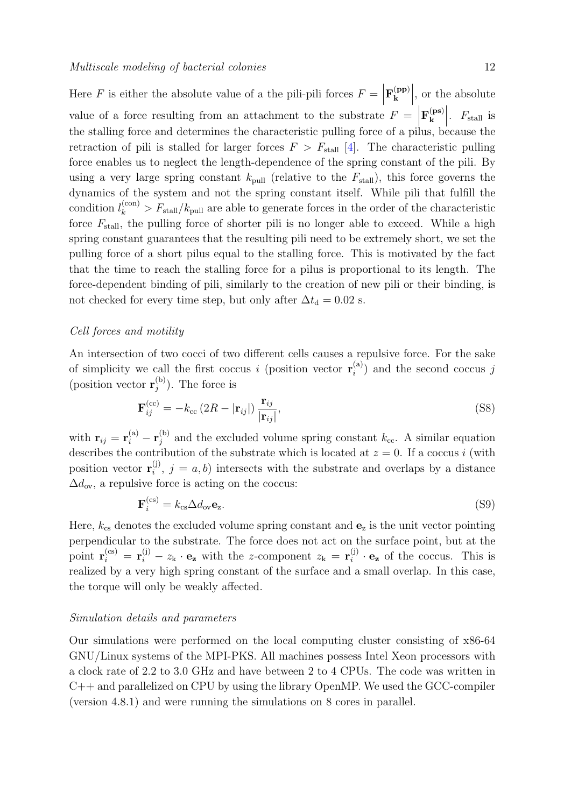Here  $F$  is either the absolute value of a the pili-pili forces  $F = \begin{bmatrix} 1 & 0 \\ 0 & 1 \end{bmatrix}$  $\mathbf{F}_{\mathbf{k}}^{(\mathbf{pp})}$  $\binom{(\textbf{pp})}{\textbf{k}}$ , or the absolute value of a force resulting from an attachment to the substrate  $F = \begin{bmatrix} 1 & 0 & 0 \\ 0 & 0 & 0 \\ 0 & 0 & 0 \end{bmatrix}$  $\mathbf{F}_{\mathbf{k}}^{(\mathbf{ps})}$  $\binom{(\mathbf{ps})}{\mathbf{k}}$ .  $F_{\text{stall}}$  is the stalling force and determines the characteristic pulling force of a pilus, because the retraction of pili is stalled for larger forces  $F > F_{\text{stall}}$  [\[4\]](#page-19-4). The characteristic pulling force enables us to neglect the length-dependence of the spring constant of the pili. By using a very large spring constant  $k_{\text{pull}}$  (relative to the  $F_{\text{stall}}$ ), this force governs the dynamics of the system and not the spring constant itself. While pili that fulfill the condition  $l_k^{(\text{con})} > F_{\text{stall}}/k_{\text{pull}}$  are able to generate forces in the order of the characteristic force  $F_{\text{stall}}$ , the pulling force of shorter pili is no longer able to exceed. While a high spring constant guarantees that the resulting pili need to be extremely short, we set the pulling force of a short pilus equal to the stalling force. This is motivated by the fact that the time to reach the stalling force for a pilus is proportional to its length. The force-dependent binding of pili, similarly to the creation of new pili or their binding, is not checked for every time step, but only after  $\Delta t_d = 0.02$  s.

## Cell forces and motility

An intersection of two cocci of two different cells causes a repulsive force. For the sake of simplicity we call the first coccus i (position vector  $\mathbf{r}_i^{(a)}$  $i^{(a)}$  and the second coccus j (position vector  $\mathbf{r}_i^{(b)}$  $j^{(D)}$ ). The force is

$$
\mathbf{F}_{ij}^{(cc)} = -k_{cc} \left(2R - |\mathbf{r}_{ij}|\right) \frac{\mathbf{r}_{ij}}{|\mathbf{r}_{ij}|},\tag{S8}
$$

with  $\mathbf{r}_{ij} = \mathbf{r}^{\text{(a)}}_i - \mathbf{r}^{\text{(b)}}_j$  $j_j^{(b)}$  and the excluded volume spring constant  $k_{\rm cc}$ . A similar equation describes the contribution of the substrate which is located at  $z = 0$ . If a coccus i (with position vector  $\mathbf{r}_i^{(j)}$  $i^{(j)}$ ,  $j = a, b$ ) intersects with the substrate and overlaps by a distance  $\Delta d_{ov}$ , a repulsive force is acting on the coccus:

$$
\mathbf{F}_i^{(\text{cs})} = k_{\text{cs}} \Delta d_{\text{ov}} \mathbf{e}_z.
$$
 (S9)

Here,  $k_{cs}$  denotes the excluded volume spring constant and  $\mathbf{e}_z$  is the unit vector pointing perpendicular to the substrate. The force does not act on the surface point, but at the point  $\mathbf{r}_i^{(cs)} = \mathbf{r}_i^{(j)} - z_k \cdot \mathbf{e_z}$  with the z-component  $z_k = \mathbf{r}_i^{(j)}$  $e_{\mathbf{z}}^{(1)} \cdot \mathbf{e}_{\mathbf{z}}$  of the coccus. This is realized by a very high spring constant of the surface and a small overlap. In this case, the torque will only be weakly affected.

#### Simulation details and parameters

Our simulations were performed on the local computing cluster consisting of x86-64 GNU/Linux systems of the MPI-PKS. All machines possess Intel Xeon processors with a clock rate of 2.2 to 3.0 GHz and have between 2 to 4 CPUs. The code was written in C++ and parallelized on CPU by using the library OpenMP. We used the GCC-compiler (version 4.8.1) and were running the simulations on 8 cores in parallel.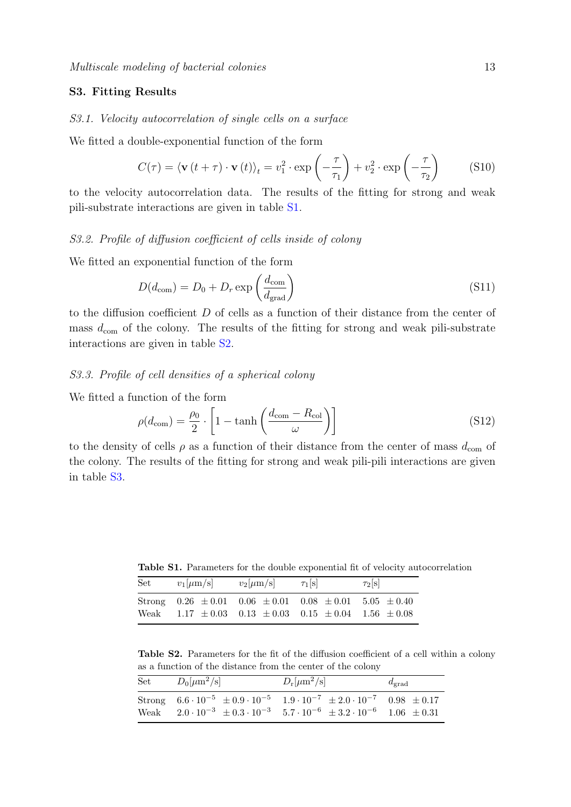## <span id="page-12-0"></span>S3. Fitting Results

#### <span id="page-12-1"></span>S3.1. Velocity autocorrelation of single cells on a surface

We fitted a double-exponential function of the form

$$
C(\tau) = \langle \mathbf{v}(t+\tau) \cdot \mathbf{v}(t) \rangle_t = v_1^2 \cdot \exp\left(-\frac{\tau}{\tau_1}\right) + v_2^2 \cdot \exp\left(-\frac{\tau}{\tau_2}\right) \tag{S10}
$$

to the velocity autocorrelation data. The results of the fitting for strong and weak pili-substrate interactions are given in table [S1.](#page-12-4)

## <span id="page-12-2"></span>S3.2. Profile of diffusion coefficient of cells inside of colony

We fitted an exponential function of the form

$$
D(d_{\text{com}}) = D_0 + D_r \exp\left(\frac{d_{\text{com}}}{d_{\text{grad}}}\right)
$$
 (S11)

to the diffusion coefficient D of cells as a function of their distance from the center of mass  $d_{\text{com}}$  of the colony. The results of the fitting for strong and weak pili-substrate interactions are given in table [S2.](#page-12-5)

## <span id="page-12-3"></span>S3.3. Profile of cell densities of a spherical colony

We fitted a function of the form

$$
\rho(d_{\text{com}}) = \frac{\rho_0}{2} \cdot \left[ 1 - \tanh\left(\frac{d_{\text{com}} - R_{\text{col}}}{\omega}\right) \right]
$$
\n(S12)

to the density of cells  $\rho$  as a function of their distance from the center of mass  $d_{\text{com}}$  of the colony. The results of the fitting for strong and weak pili-pili interactions are given in table [S3.](#page-13-0)

<span id="page-12-4"></span>Table S1. Parameters for the double exponential fit of velocity autocorrelation

| Set  | $v_1$ [ $\mu$ m/s] | $v_2[\mu \text{m/s}]$ | $\tau_1[\mathrm{s}]$                                                   | $\tau_2[s]$ |
|------|--------------------|-----------------------|------------------------------------------------------------------------|-------------|
|      |                    |                       | Strong $0.26 \pm 0.01$ $0.06 \pm 0.01$ $0.08 \pm 0.01$ $5.05 \pm 0.40$ |             |
| Weak |                    |                       | $1.17 \pm 0.03$ $0.13 \pm 0.03$ $0.15 \pm 0.04$ $1.56 \pm 0.08$        |             |

<span id="page-12-5"></span>Table S2. Parameters for the fit of the diffusion coefficient of a cell within a colony as a function of the distance from the center of the colony

| Set | $D_0[\mu m^2/s]$ | $D_{\rm r}[\mu{\rm m}^2/{\rm s}]$                                                                                                                                                                                      | $d_{\rm grad}$ |
|-----|------------------|------------------------------------------------------------------------------------------------------------------------------------------------------------------------------------------------------------------------|----------------|
|     |                  | Strong $6.6 \cdot 10^{-5} \pm 0.9 \cdot 10^{-5}$ $1.9 \cdot 10^{-7} \pm 2.0 \cdot 10^{-7}$ $0.98 \pm 0.17$<br>Weak $2.0 \cdot 10^{-3} \pm 0.3 \cdot 10^{-3}$ $5.7 \cdot 10^{-6} \pm 3.2 \cdot 10^{-6}$ $1.06 \pm 0.31$ |                |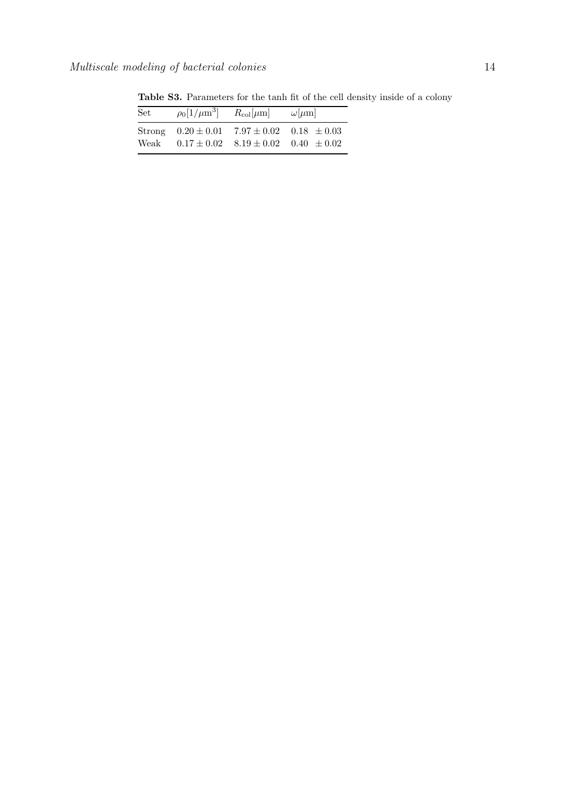| Set  | $\rho_0[1/\mu m^3]$ | $R_{\rm col}[\mu m]$ | $\omega[\mu m]$                                                                                           |
|------|---------------------|----------------------|-----------------------------------------------------------------------------------------------------------|
| Weak |                     |                      | Strong $0.20 \pm 0.01$ $7.97 \pm 0.02$ $0.18 \pm 0.03$<br>$0.17 \pm 0.02$ $8.19 \pm 0.02$ $0.40 \pm 0.02$ |

<span id="page-13-0"></span>Table S3. Parameters for the tanh fit of the cell density inside of a colony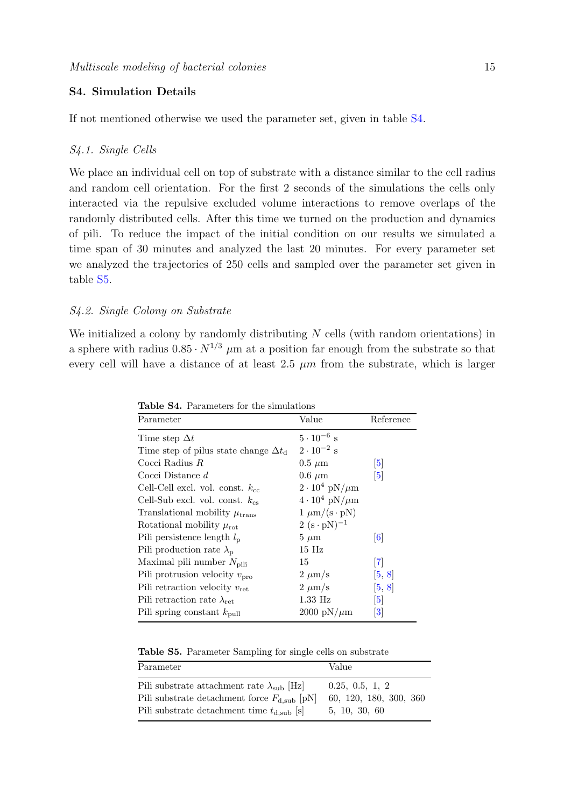## <span id="page-14-0"></span>S4. Simulation Details

If not mentioned otherwise we used the parameter set, given in table [S4.](#page-14-3)

#### <span id="page-14-1"></span>S4.1. Single Cells

We place an individual cell on top of substrate with a distance similar to the cell radius and random cell orientation. For the first 2 seconds of the simulations the cells only interacted via the repulsive excluded volume interactions to remove overlaps of the randomly distributed cells. After this time we turned on the production and dynamics of pili. To reduce the impact of the initial condition on our results we simulated a time span of 30 minutes and analyzed the last 20 minutes. For every parameter set we analyzed the trajectories of 250 cells and sampled over the parameter set given in table [S5.](#page-14-4)

#### <span id="page-14-2"></span>S4.2. Single Colony on Substrate

We initialized a colony by randomly distributing  $N$  cells (with random orientations) in a sphere with radius  $0.85 \cdot N^{1/3}$   $\mu$ m at a position far enough from the substrate so that every cell will have a distance of at least 2.5  $\mu$ m from the substrate, which is larger

<span id="page-14-3"></span>

| Parameter                                          | Value                        | Reference                    |
|----------------------------------------------------|------------------------------|------------------------------|
| Time step $\Delta t$                               | $5 \cdot 10^{-6}$ s          |                              |
| Time step of pilus state change $\Delta t_{\rm d}$ | $2 \cdot 10^{-2}$ s          |                              |
| Cocci Radius $R$                                   | $0.5 \ \mu m$                | $\vert 5 \vert$              |
| Cocci Distance $d$                                 | $0.6 \mu m$                  | $\vert 5 \vert$              |
| Cell-Cell excl. vol. const. $k_{\rm cc}$           | $2\cdot10^4$ pN/ $\mu$ m     |                              |
| Cell-Sub excl. vol. const. $k_{cs}$                | $4\cdot10^4$ pN/ $\mu$ m     |                              |
| Translational mobility $\mu_{\text{trans}}$        | $1 \mu m/(s \cdot pN)$       |                              |
| Rotational mobility $\mu_{\rm rot}$                | $2 (s \cdot pN)^{-1}$        |                              |
| Pili persistence length $l_{\rm p}$                | $5 \mu m$                    | $\vert 6 \vert$              |
| Pili production rate $\lambda_{\rm p}$             | $15$ Hz                      |                              |
| Maximal pili number $N_{\text{pili}}$              | 15                           | $\lceil 7 \rceil$            |
| Pili protrusion velocity $v_{\text{pro}}$          | $2 \ \mu m/s$                | [5, 8]                       |
| Pili retraction velocity $v_{\text{ret}}$          | $2 \ \mu m/s$                | [5, 8]                       |
| Pili retraction rate $\lambda_{\rm ret}$           | $1.33$ Hz                    | $\vert 5 \vert$              |
| Pili spring constant $k_{\text{pull}}$             | $2000~\text{pN}/\mu\text{m}$ | $\left\lvert 3 \right\rvert$ |

Table S4. Parameters for the simulations

<span id="page-14-4"></span>Table S5. Parameter Sampling for single cells on substrate

| Parameter                                           | Value                  |
|-----------------------------------------------------|------------------------|
| Pili substrate attachment rate $\lambda_{sub}$ [Hz] | 0.25, 0.5, 1, 2        |
| Pili substrate detachment force $F_{d,sub}$ [pN]    | 60, 120, 180, 300, 360 |
| Pili substrate detachment time $t_{d,sub}$ [s]      | 5, 10, 30, 60          |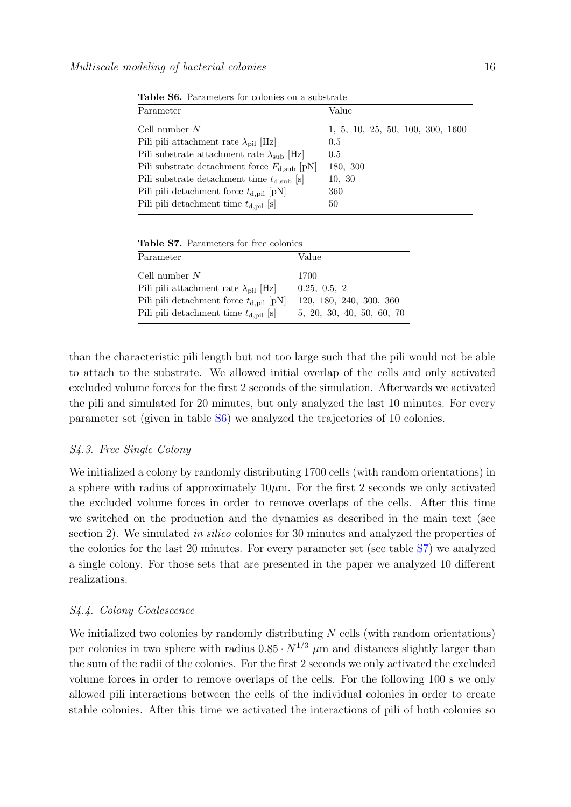| Parameter                                             | Value                            |
|-------------------------------------------------------|----------------------------------|
| Cell number $N$                                       | 1, 5, 10, 25, 50, 100, 300, 1600 |
| Pili pili attachment rate $\lambda_{\text{pil}}$ [Hz] | 0.5                              |
| Pili substrate attachment rate $\lambda_{sub}$ [Hz]   | 0.5                              |
| Pili substrate detachment force $F_{d,sub}$ [pN]      | 180, 300                         |
| Pili substrate detachment time $t_{d,sub}$ [s]        | 10, 30                           |
| Pili pili detachment force $t_{d,pil}$ [pN]           | 360                              |
| Pili pili detachment time $t_{d,pil}$ [s]             | 50                               |

<span id="page-15-2"></span>Table S6. Parameters for colonies on a substrate

<span id="page-15-3"></span>Table S7. Parameters for free colonies

| Value                     |
|---------------------------|
| 1700                      |
| 0.25, 0.5, 2              |
| 120, 180, 240, 300, 360   |
| 5, 20, 30, 40, 50, 60, 70 |
|                           |

than the characteristic pili length but not too large such that the pili would not be able to attach to the substrate. We allowed initial overlap of the cells and only activated excluded volume forces for the first 2 seconds of the simulation. Afterwards we activated the pili and simulated for 20 minutes, but only analyzed the last 10 minutes. For every parameter set (given in table [S6\)](#page-15-2) we analyzed the trajectories of 10 colonies.

## <span id="page-15-0"></span>S4.3. Free Single Colony

We initialized a colony by randomly distributing 1700 cells (with random orientations) in a sphere with radius of approximately  $10\mu$ m. For the first 2 seconds we only activated the excluded volume forces in order to remove overlaps of the cells. After this time we switched on the production and the dynamics as described in the main text (see section 2). We simulated in silico colonies for 30 minutes and analyzed the properties of the colonies for the last 20 minutes. For every parameter set (see table [S7\)](#page-15-3) we analyzed a single colony. For those sets that are presented in the paper we analyzed 10 different realizations.

## <span id="page-15-1"></span>S4.4. Colony Coalescence

We initialized two colonies by randomly distributing  $N$  cells (with random orientations) per colonies in two sphere with radius  $0.85 \cdot N^{1/3}$   $\mu$ m and distances slightly larger than the sum of the radii of the colonies. For the first 2 seconds we only activated the excluded volume forces in order to remove overlaps of the cells. For the following 100 s we only allowed pili interactions between the cells of the individual colonies in order to create stable colonies. After this time we activated the interactions of pili of both colonies so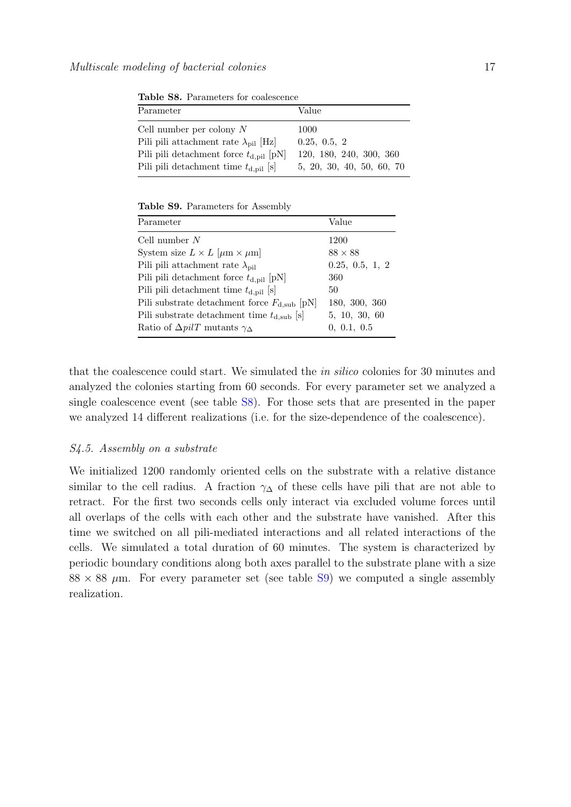| <b>Lable Do.</b> I alameters for coalescence          |                           |  |
|-------------------------------------------------------|---------------------------|--|
| Parameter                                             | Value                     |  |
| Cell number per colony $N$                            | 1000                      |  |
| Pili pili attachment rate $\lambda_{\text{pil}}$ [Hz] | 0.25, 0.5, 2              |  |
| Pili pili detachment force $t_{\rm d,pil}$ [pN]       | 120, 180, 240, 300, 360   |  |
| Pili pili detachment time $t_{d,pil}$ [s]             | 5, 20, 30, 40, 50, 60, 70 |  |
|                                                       |                           |  |

<span id="page-16-1"></span>Table S8. Parameters for coalescence

<span id="page-16-2"></span>Table S9. Parameters for Assembly

| Parameter                                          | Value           |
|----------------------------------------------------|-----------------|
| Cell number $N$                                    | 1200            |
| System size $L \times L$ [ $\mu$ m $\times \mu$ m] | $88 \times 88$  |
| Pili pili attachment rate $\lambda_{\text{pil}}$   | 0.25, 0.5, 1, 2 |
| Pili pili detachment force $t_{d,pil}$ [pN]        | 360             |
| Pili pili detachment time $t_{d,pil}$ [s]          | 50              |
| Pili substrate detachment force $F_{d,sub}$ [pN]   | 180, 300, 360   |
| Pili substrate detachment time $t_{d,sub}$ [s]     | 5, 10, 30, 60   |
| Ratio of $\Delta pilT$ mutants $\gamma_{\Delta}$   | 0, 0.1, 0.5     |

that the coalescence could start. We simulated the in silico colonies for 30 minutes and analyzed the colonies starting from 60 seconds. For every parameter set we analyzed a single coalescence event (see table [S8\)](#page-16-1). For those sets that are presented in the paper we analyzed 14 different realizations (i.e. for the size-dependence of the coalescence).

## <span id="page-16-0"></span>S4.5. Assembly on a substrate

We initialized 1200 randomly oriented cells on the substrate with a relative distance similar to the cell radius. A fraction  $\gamma_{\Delta}$  of these cells have pili that are not able to retract. For the first two seconds cells only interact via excluded volume forces until all overlaps of the cells with each other and the substrate have vanished. After this time we switched on all pili-mediated interactions and all related interactions of the cells. We simulated a total duration of 60 minutes. The system is characterized by periodic boundary conditions along both axes parallel to the substrate plane with a size  $88 \times 88$  µm. For every parameter set (see table [S9\)](#page-16-2) we computed a single assembly realization.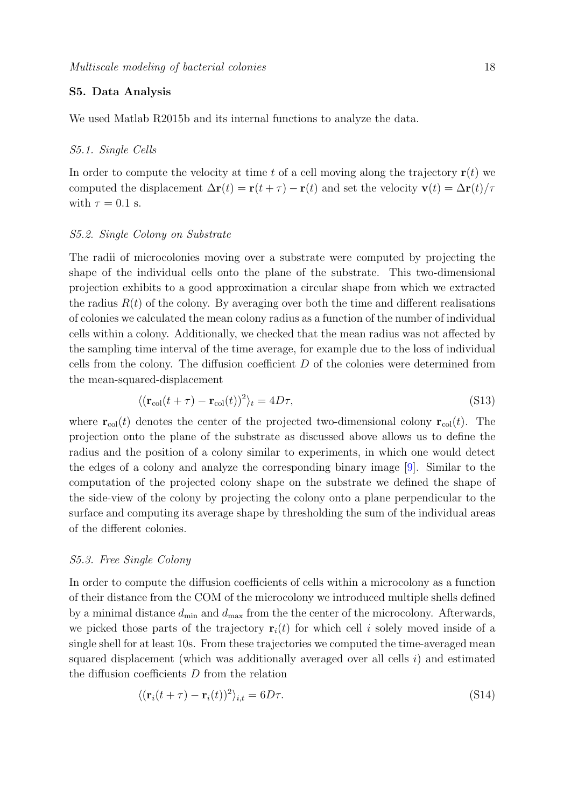## <span id="page-17-0"></span>S5. Data Analysis

We used Matlab R2015b and its internal functions to analyze the data.

## <span id="page-17-1"></span>S5.1. Single Cells

In order to compute the velocity at time t of a cell moving along the trajectory  $r(t)$  we computed the displacement  $\Delta \mathbf{r}(t) = \mathbf{r}(t + \tau) - \mathbf{r}(t)$  and set the velocity  $\mathbf{v}(t) = \Delta \mathbf{r}(t)/\tau$ with  $\tau = 0.1$  s.

## <span id="page-17-2"></span>S5.2. Single Colony on Substrate

The radii of microcolonies moving over a substrate were computed by projecting the shape of the individual cells onto the plane of the substrate. This two-dimensional projection exhibits to a good approximation a circular shape from which we extracted the radius  $R(t)$  of the colony. By averaging over both the time and different realisations of colonies we calculated the mean colony radius as a function of the number of individual cells within a colony. Additionally, we checked that the mean radius was not affected by the sampling time interval of the time average, for example due to the loss of individual cells from the colony. The diffusion coefficient D of the colonies were determined from the mean-squared-displacement

$$
\langle (\mathbf{r}_{\text{col}}(t+\tau) - \mathbf{r}_{\text{col}}(t))^2 \rangle_t = 4D\tau,
$$
\n(S13)

where  $\mathbf{r}_{\text{col}}(t)$  denotes the center of the projected two-dimensional colony  $\mathbf{r}_{\text{col}}(t)$ . The projection onto the plane of the substrate as discussed above allows us to define the radius and the position of a colony similar to experiments, in which one would detect the edges of a colony and analyze the corresponding binary image [\[9\]](#page-19-9). Similar to the computation of the projected colony shape on the substrate we defined the shape of the side-view of the colony by projecting the colony onto a plane perpendicular to the surface and computing its average shape by thresholding the sum of the individual areas of the different colonies.

## <span id="page-17-3"></span>S5.3. Free Single Colony

In order to compute the diffusion coefficients of cells within a microcolony as a function of their distance from the COM of the microcolony we introduced multiple shells defined by a minimal distance  $d_{\min}$  and  $d_{\max}$  from the the center of the microcolony. Afterwards, we picked those parts of the trajectory  $\mathbf{r}_i(t)$  for which cell i solely moved inside of a single shell for at least 10s. From these trajectories we computed the time-averaged mean squared displacement (which was additionally averaged over all cells  $i$ ) and estimated the diffusion coefficients D from the relation

$$
\langle (\mathbf{r}_i(t+\tau) - \mathbf{r}_i(t))^2 \rangle_{i,t} = 6D\tau.
$$
\n(S14)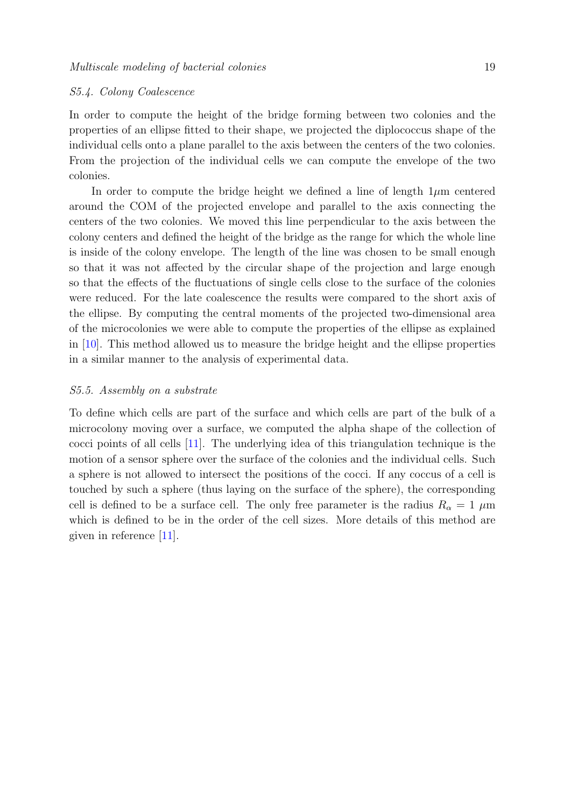## <span id="page-18-0"></span>S5.4. Colony Coalescence

In order to compute the height of the bridge forming between two colonies and the properties of an ellipse fitted to their shape, we projected the diplococcus shape of the individual cells onto a plane parallel to the axis between the centers of the two colonies. From the projection of the individual cells we can compute the envelope of the two colonies.

In order to compute the bridge height we defined a line of length  $1\mu$ m centered around the COM of the projected envelope and parallel to the axis connecting the centers of the two colonies. We moved this line perpendicular to the axis between the colony centers and defined the height of the bridge as the range for which the whole line is inside of the colony envelope. The length of the line was chosen to be small enough so that it was not affected by the circular shape of the projection and large enough so that the effects of the fluctuations of single cells close to the surface of the colonies were reduced. For the late coalescence the results were compared to the short axis of the ellipse. By computing the central moments of the projected two-dimensional area of the microcolonies we were able to compute the properties of the ellipse as explained in [\[10\]](#page-19-10). This method allowed us to measure the bridge height and the ellipse properties in a similar manner to the analysis of experimental data.

## <span id="page-18-1"></span>S5.5. Assembly on a substrate

To define which cells are part of the surface and which cells are part of the bulk of a microcolony moving over a surface, we computed the alpha shape of the collection of cocci points of all cells [\[11\]](#page-19-11). The underlying idea of this triangulation technique is the motion of a sensor sphere over the surface of the colonies and the individual cells. Such a sphere is not allowed to intersect the positions of the cocci. If any coccus of a cell is touched by such a sphere (thus laying on the surface of the sphere), the corresponding cell is defined to be a surface cell. The only free parameter is the radius  $R_{\alpha} = 1 \mu m$ which is defined to be in the order of the cell sizes. More details of this method are given in reference [\[11\]](#page-19-11).